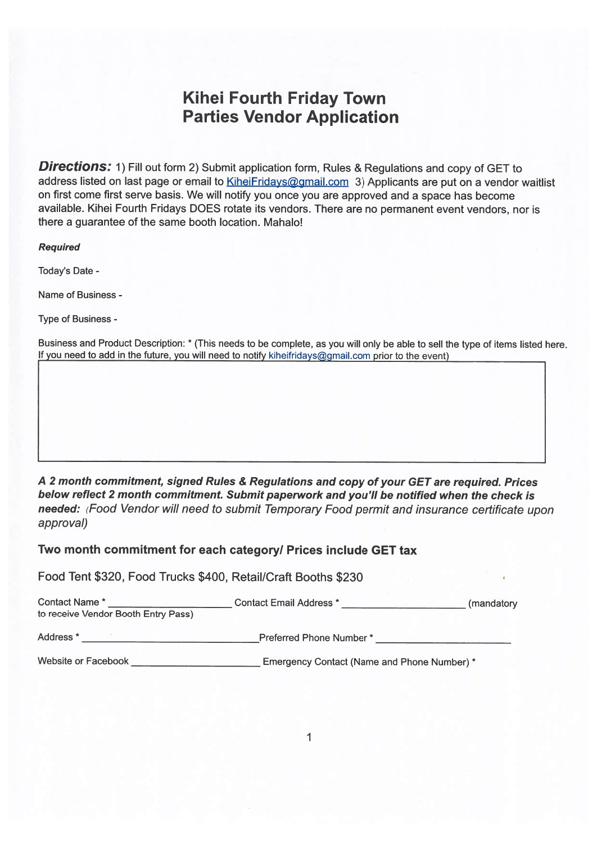# Kihei Fourth Friday Town **Parties Vendor Application**

Directions: 1) Fill out form 2) Submit application form, Rules & Regulations and copy of GET to address listed on last page or email to KiheiFridays@gmail.com 3) Applicants are put on a vendor waitlist on first come first serve basis. We will notify you once you are approved and <sup>a</sup> space has become available. Kihei Fourth Fridays DOES rotate its vendors. There are no permanen<sup>t</sup> event vendors, nor is there <sup>a</sup> guarantee of the same booth location. Mahalo!

#### Required

Today's Date -

Name of Business -

Type of Business -

Business and Product Description: \* (This needs to be complete, as you will only be able to sell the type of items listed here. If you need to add in the future, you will need to notify kiheifridays@gmail.com prior to the event)

A 2 month commitment, signed Rules & Regulations and copy of your GET are required. Prices below reflect <sup>2</sup> month commitment. Submit paperwor<sup>k</sup> and you'll be notified when the check is needed: (Food Vendor will need to submit Temporary Food permit and insurance certificate upon approval)

Two month commitment for each category! Prices include GET tax

| Contact Name*                       | Contact Email Address *                     | (mandatory) |
|-------------------------------------|---------------------------------------------|-------------|
| to receive Vendor Booth Entry Pass) |                                             |             |
| Address *                           | <b>Preferred Phone Number *</b>             |             |
| <b>Website or Facebook</b>          | Emergency Contact (Name and Phone Number) * |             |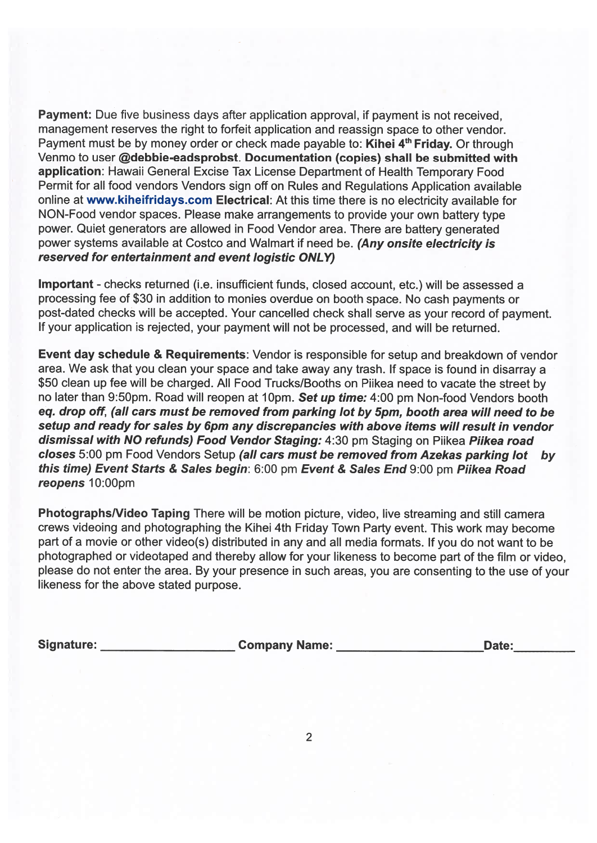Payment: Due five business days after application approval, if paymen<sup>t</sup> is not received, managemen<sup>t</sup> reserves the right to forfeit application and reassign space to other vendor. Payment must be by money order or check made payable to: Kihei 4<sup>th</sup> Friday. Or through Venmo to user @debbie-eadsprobst. Documentation (copies) shall be submitted with application: Hawaii General Excise Tax License Department of Health Temporary Food Permit for all food vendors Vendors sign off on Rules and Regulations Application available online at www.kiheifridays.com Electrical: At this time there is no electricity available for NON-Food vendor spaces. Please make arrangements to provide your own battery type power. Quiet generators are allowed in Food Vendor area. There are battery generated power systems available at Costco and Walmart if need be. (Any onsite electricity is reserved for entertainment and event logistic ONLY) Payment: Due five business days after application approval, if payment is not received,<br>management reserves the right to foreita application and reassign appact to other vendor.<br>Fearurel must be by money order or check mad

Important - checks returned (i.e. insufficient funds, closed account, etc.) will be assessed <sup>a</sup> processing fee of \$30 in addition to monies overdue on booth space. No cash payments or post-dated checks will be accepted. Your cancelled check shall serve as your record of payment. If your application is rejected, your paymen<sup>t</sup> will not be processed, and will be returned.

Event day schedule & Requirements: Vendor is responsible for setup and breakdown of vendor area. We ask that you clean your space and take away any trash. If space is found in disarray <sup>a</sup> \$50 clean up fee will be charged. All Food Trucks/Booths on Piikea need to vacate the street by no later than 9:50pm. Road will reopen at 10pm. Set up time: 4:00 pm Non-food Vendors booth eq. drop off, (all cars must be removed from parking lot by 5pm, booth area will need to be setup and ready for sales by 6pm any discrepancies with above items will result in vendor dismissal with NO refunds) Food Vendor Staging: 4:30 pm Staging on Piikea Piikea road closes 5:00 pm Food Vendors Setup (all cars must be removed from Azekas parking lot by this time) Event Starts & Sales begin: 6:00 pm Event & Sales End 9:00 pm Piikea Road reopens 10:00pm

Photographs/Video Taping There will be motion picture, video, live streaming and still camera crews videoing and <sup>p</sup>hotographing the Kihei 4th Friday Town Party event. This work may become par<sup>t</sup> of <sup>a</sup> movie or other video(s) distributed in any and all media formats. If you do not want to be <sup>p</sup>hotographed or videotaped and thereby allow for your likeness to become par<sup>t</sup> of the film or video, <sup>p</sup>lease do not enter the area. By your presence in such areas, you are consenting to the use of your likeness for the above stated purpose.

| <b>Signature:</b> | <b>Company Name:</b> | Date: |
|-------------------|----------------------|-------|
|                   |                      |       |

2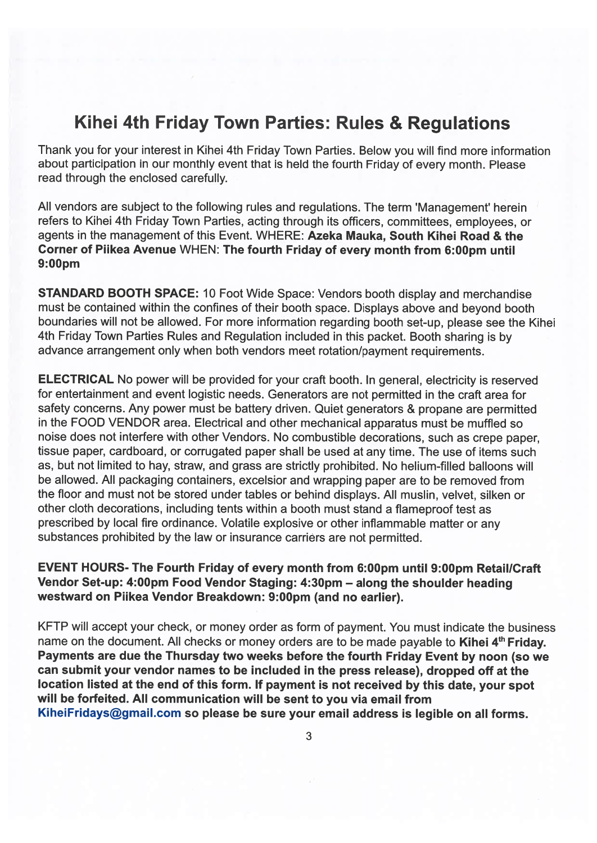# Kihei 4th Friday Town Parties: Rules & Regulations

Thank you for your interest in Kihei 4th Friday Town Parties. Below you will find more information about participation in our monthly event that is held the fourth Friday of every month. Please read through the enclosed carefully.

All vendors are subject to the following rules and regulations. The term 'Management' herein refers to Kihei 4th Friday Town Parties, acting through its officers, committees, employees, or agents in the managemen<sup>t</sup> of this Event. WHERE: Azeka Mauka, South Kihei Road & the Corner of Piikea Avenue WHEN: The fourth Friday of every month from 6:00pm until 9:00pm

STANDARD BOOTH SPACE: 10 Foot Wide Space: Vendors booth display and merchandise must be contained within the confines of their booth space. Displays above and beyond booth boundaries will not be allowed. For more information regarding booth set-up, <sup>p</sup>lease see the Kihei 4th Friday Town Parties Rules and Regulation included in this packet. Booth sharing is by advance arrangemen<sup>t</sup> only when both vendors meet rotation/payment requirements.

ELECTRICAL No power will be provided for your craft booth. In general, electricity is reserved for entertainment and event logistic needs. Generators are not permitted in the craft area for safety concerns. Any power must be battery driven. Quiet generators & propane are permitted in the FOOD VENDOR area. Electrical and other mechanical apparatus must be muffled so noise does not interfere with other Vendors. No combustible decorations, such as crepe paper, tissue paper, cardboard, or corrugated paper shall be used at any time. The use of items such as, but not limited to hay, straw, and grass are strictly prohibited. No helium-filled balloons will be allowed. All packaging containers, excelsior and wrapping paper are to be removed from the floor and must not be stored under tables or behind displays. All muslin, velvet, silken or other cloth decorations, including tents within <sup>a</sup> booth must stand <sup>a</sup> flameproof test as prescribed by local fire ordinance. Volatile explosive or other inflammable matter or any substances prohibited by the law or insurance carriers are not permitted.

## EVENT HOURS- The Fourth Friday of every month from 6:00pm until 9:00pm Retail/Craft Vendor Set-up: 4:00pm Food Vendor Staging: 4:30pm — along the shoulder heading westward on Piikea Vendor Breakdown: 9:00pm (and no earlier).

KFTP will accep<sup>t</sup> your check, or money order as form of payment. You must indicate the business name on the document. All checks or money orders are to be made payable to Kihei 4<sup>th</sup> Friday. Payments are due the Thursday two weeks before the fourth Friday Event by noon (so we can submit your vendor names to be included in the press release), dropped off at the location listed at the end of this form. If paymen<sup>t</sup> is not received by this date, your spo<sup>t</sup> will be forfeited. All communication will be sent to you via email from KiheiFridays@gmail.com so please be sure your email address is legible on all forms.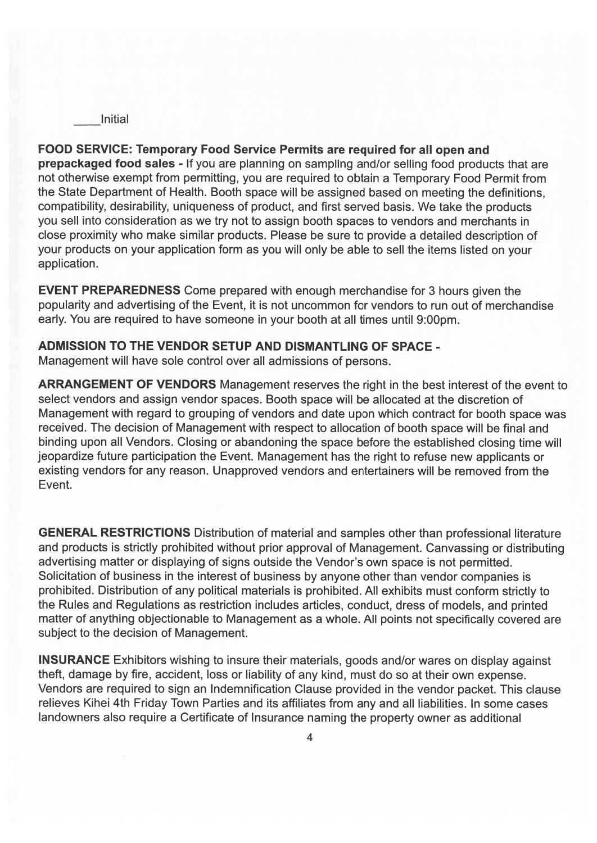Initial

FOOD SERVICE: Temporary Food Service Permits are required for all open and prepackaged food sales - If you are planning on sampling and/or selling food products that are not otherwise exemp<sup>t</sup> from permitting, you are required to obtain <sup>a</sup> Temporary Food Permit from the State Department of Health. Booth space will be assigned based on meeting the definitions, compatibility, desirability, uniqueness of product, and first served basis. We take the products you sell into consideration as we try not to assign booth spaces to vendors and merchants in close proximity who make similar products. Please be sure to provide <sup>a</sup> detailed description of your products on your application form as you will only be able to sell the items listed on your application.

EVENT PREPAREDNESS Come prepared with enough merchandise for 3 hours given the popularity and advertising of the Event, it is not uncommon for vendors to run out of merchandise early. You are required to have someone in your booth at all times until 9:00pm.

#### ADMISSION TO THE VENDOR SETUP AND DISMANTLING OF SPACE -

Management will have sole control over all admissions of persons.

ARRANGEMENT OF VENDORS Management reserves the right in the best interest of the event to select vendors and assign vendor spaces. Booth space will be allocated at the discretion of Management with regard to grouping of vendors and date upon which contract for booth space was received. The decision of Management with respec<sup>t</sup> to allocation of booth space will be final and binding upon all Vendors. Closing or abandoning the space before the established closing time will jeopardize future participation the Event. Management has the right to refuse new applicants or existing vendors for any reason. Unapproved vendors and entertainers will be removed from the Event.

GENERAL RESTRICTIONS Distribution of material and samples other than professional literature and products is strictly prohibited without prior approva<sup>l</sup> of Management. Canvassing or distributing advertising matter or displaying of signs outside the Vendor's own space is not permitted. Solicitation of business in the interest of business by anyone other than vendor companies is prohibited. Distribution of any political materials is prohibited. All exhibits must conform strictly to the Rules and Regulations as restriction includes articles, conduct, dress of models, and printed matter of anything objectionable to Management as <sup>a</sup> whole. All points not specifically covered are subject to the decision of Management.

INSURANCE Exhibitors wishing to insure their materials, goods and/or wares on display against theft, damage by fire, accident, loss or liability of any kind, must do so at their own expense. Vendors are required to sign an Indemnification Clause provided in the vendor packet. This clause relieves Kihei 4th Friday Town Parties and its affiliates from any and all liabilities. In some cases landowners also require <sup>a</sup> Certificate of Insurance naming the property owner as additional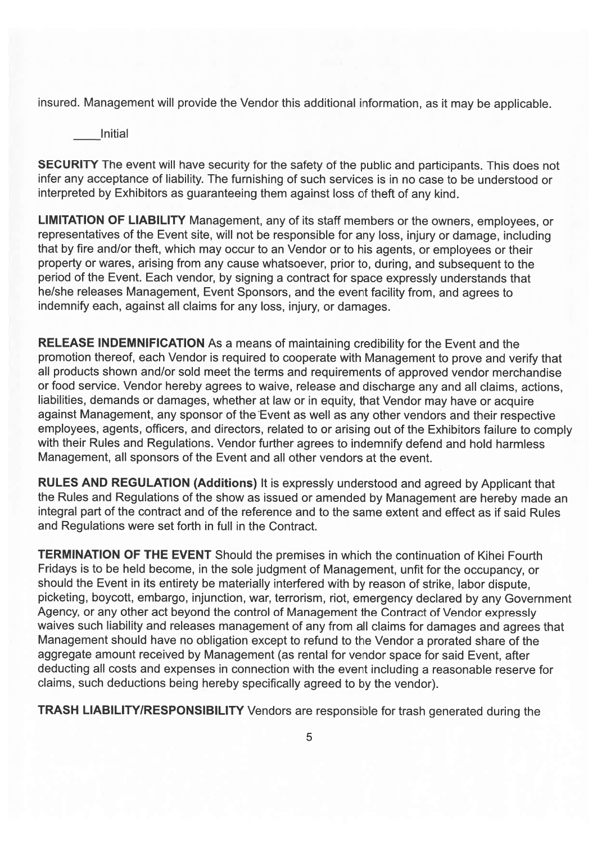insured. Management will provide the Vendor this additional information, as it may be applicable.

Initial

SECURITY The event will have security for the safety of the public and participants. This does not infer any acceptance of liability. The furnishing of such services is in no case to be understood or interpreted by Exhibitors as guaranteeing them against loss of theft of any kind.

LIMITATION OF LIABILITY Management, any of its staff members or the owners, employees, or representatives of the Event site, will not be responsible for any loss, injury or damage, including that by fire and/or theft, which may occur to an Vendor or to his agents, or employees or their property or wares, arising from any cause whatsoever, prior to, during, and subsequent to the period of the Event. Each vendor, by signing <sup>a</sup> contract for space expressly understands that he/she releases Management, Event Sponsors, and the event facility from, and agrees to indemnify each, against all claims for any loss, injury, or damages.

RELEASE INDEMNIFICATION As <sup>a</sup> means of maintaining credibility for the Event and the promotion thereof, each Vendor is required to cooperate with Management to prove and verify that all products shown and/or sold meet the terms and requirements of approve<sup>d</sup> vendor merchandise or food service. Vendor hereby agrees to waive, release and discharge any and all claims, actions, liabilities, demands or damages, whether at law or in equity, that Vendor may have or acquire against Management, any sponsor of the Event as well as any other vendors and their respective employees, agents, officers, and directors, related to or arising out of the Exhibitors failure to comply with their Rules and Regulations. Vendor further agrees to indemnify defend and hold harmless Management, all sponsors of the Event and all other vendors at the event.

RULES AND REGULATION (Additions) It is expressly understood and agree<sup>d</sup> by Applicant that the Rules and Regulations of the show as issued or amended by Management are hereby made an integral par<sup>t</sup> of the contract and of the reference and to the same extent and effect as if said Rules and Regulations were set forth in full in the Contract.

**TERMINATION OF THE EVENT** Should the premises in which the continuation of Kihei Fourth Fridays is to be held become, in the sole judgment of Management, unfit for the occupancy, or should the Event in its entirety be materially interfered with by reason of strike, labor dispute, <sup>p</sup>icketing, boycott, embargo, injunction, war, terrorism, riot, emergency declared by any Government Agency, or any other act beyond the control of Management the Contract of Vendor expressly waives such liability and releases managemen<sup>t</sup> of any from all claims for damages and agrees that Management should have no obligation excep<sup>t</sup> to refund to the Vendor <sup>a</sup> prorated share of the aggregate amount received by Management (as rental for vendor space for said Event, after deducting all costs and expenses in connection with the event including <sup>a</sup> reasonable reserve for claims, such deductions being hereby specifically agree<sup>d</sup> to by the vendor).

TRASH LIABILITY/RESPONSIBILITY Vendors are responsible for trash generated during the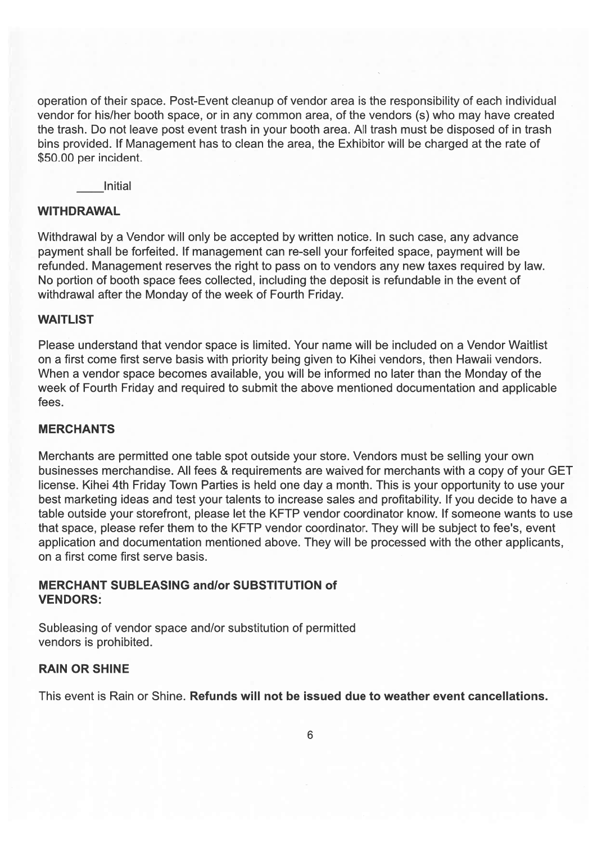operation of their space. Post-Event cleanup of vendor area is the responsibility of each individual vendor for his/her booth space, or in any common area, of the vendors (s) who may have created the trash. Do not leave pos<sup>t</sup> event trash in your booth area. All trash must be disposed of in trash bins provided. If Management has to clean the area, the Exhibitor will be charged at the rate of \$50.00 per incident.

Initial

### WITHDRAWAL

Withdrawal by <sup>a</sup> Vendor will only be accepted by written notice. In such case, any advance paymen<sup>t</sup> shall be forfeited. If managemen<sup>t</sup> can re-sell your forfeited space, paymen<sup>t</sup> will be refunded. Management reserves the right to pass on to vendors any new taxes required by law. No portion of booth space fees collected, including the deposit is refundable in the event of withdrawal after the Monday of the week of Fourth Friday.

### WAITLIST

Please understand that vendor space is limited. Your name will be included on <sup>a</sup> Vendor Waitlist on <sup>a</sup> first come first serve basis with priority being given to Kihei vendors, then Hawaii vendors. When <sup>a</sup> vendor space becomes available, you will be informed no later than the Monday of the week of Fourth Friday and required to submit the above mentioned documentation and applicable fees.

## **MERCHANTS**

Merchants are permitted one table spo<sup>t</sup> outside your store. Vendors must be selling your own businesses merchandise. All fees & requirements are waived for merchants with <sup>a</sup> copy of your GET license. Kihei 4th Friday Town Parties is held one day <sup>a</sup> month. This is your opportunity to use your best marketing ideas and test your talents to increase sales and profitability. If you decide to have <sup>a</sup> table outside your storefront, please let the KFTP vendor coordinator know. If someone wants to use that space, please refer them to the KFTP vendor coordinator. They will be subject to fee's, event application and documentation mentioned above. They will be processed with the other applicants, on <sup>a</sup> first come first serve basis.

### MERCHANT SUBLEASING andlor SUBSTITUTION of VENDORS:

Subleasing of vendor space and/or substitution of permitted vendors is prohibited.

### RAIN OR SHINE

This event is Rain or Shine. Refunds will not be issued due to weather event cancellations.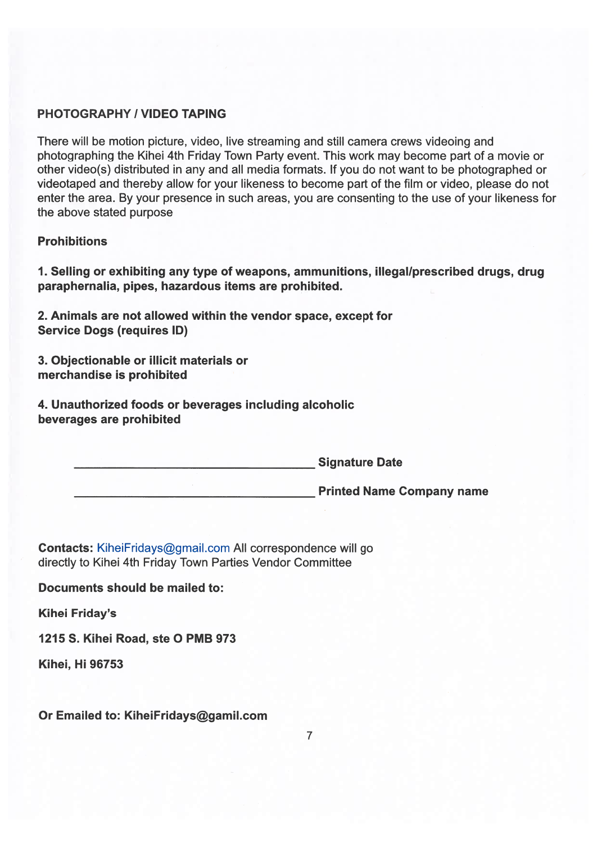#### PHOTOGRAPHY / VIDEO TAPING

There will be motion picture, video, live streaming and still camera crews videoing and photographing the Kihei 4th Friday Town Party event. This work may become par<sup>t</sup> of <sup>a</sup> movie or other video(s) distributed in any and all media formats. If you do not want to be photographed or videotaped and thereby allow for your likeness to become par<sup>t</sup> of the film or video, please do not enter the area. By your presence in such areas, you are consenting to the use of your likeness for the above stated purpose PHOTOGRAPHY / VIDEO TAPING<br>There will be motion picture, video, live streaming and still camera cr<br>photographing the Kihei 4th Friday Town Party event. This work may<br>other video(s) distributed in any and all media formats.

#### **Prohibitions**

1. Selling or exhibiting any type of weapons, ammunitions, illegal/prescribed drugs, drug paraphernalia, pipes, hazardous items are prohibited.

2. Animals are not allowed within the vendor space, excep<sup>t</sup> for Service Dogs (requires ID)

3. Objectionable or illicit materials or merchandise is prohibited

4. Unauthorized foods or beverages including alcoholic

Printed Name Company name

Contacts: KiheiFridays@gmail.com All correspondence will go directly to Kihei 4th Friday Town Parties Vendor Committee

Documents should be mailed to:

Kihei Friday's

1215 S. Kihei Road, ste 0 PMB 973

Kihei, Hi 96753

Or Emailed to: KiheiFridays@gamil.com